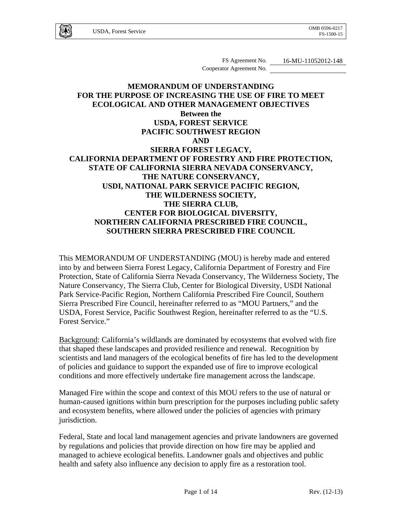FS Agreement No. 16-MU-11052012-148 Cooperator Agreement No.

# **MEMORANDUM OF UNDERSTANDING FOR THE PURPOSE OF INCREASING THE USE OF FIRE TO MEET ECOLOGICAL AND OTHER MANAGEMENT OBJECTIVES Between the USDA, FOREST SERVICE PACIFIC SOUTHWEST REGION AND SIERRA FOREST LEGACY, CALIFORNIA DEPARTMENT OF FORESTRY AND FIRE PROTECTION, STATE OF CALIFORNIA SIERRA NEVADA CONSERVANCY, THE NATURE CONSERVANCY, USDI, NATIONAL PARK SERVICE PACIFIC REGION, THE WILDERNESS SOCIETY, THE SIERRA CLUB, CENTER FOR BIOLOGICAL DIVERSITY, NORTHERN CALIFORNIA PRESCRIBED FIRE COUNCIL, SOUTHERN SIERRA PRESCRIBED FIRE COUNCIL**

This MEMORANDUM OF UNDERSTANDING (MOU) is hereby made and entered into by and between Sierra Forest Legacy, California Department of Forestry and Fire Protection, State of California Sierra Nevada Conservancy, The Wilderness Society, The Nature Conservancy, The Sierra Club, Center for Biological Diversity, USDI National Park Service-Pacific Region, Northern California Prescribed Fire Council, Southern Sierra Prescribed Fire Council, hereinafter referred to as "MOU Partners," and the USDA, Forest Service, Pacific Southwest Region, hereinafter referred to as the "U.S. Forest Service."

Background: California's wildlands are dominated by ecosystems that evolved with fire that shaped these landscapes and provided resilience and renewal. Recognition by scientists and land managers of the ecological benefits of fire has led to the development of policies and guidance to support the expanded use of fire to improve ecological conditions and more effectively undertake fire management across the landscape.

Managed Fire within the scope and context of this MOU refers to the use of natural or human-caused ignitions within burn prescription for the purposes including public safety and ecosystem benefits, where allowed under the policies of agencies with primary jurisdiction.

Federal, State and local land management agencies and private landowners are governed by regulations and policies that provide direction on how fire may be applied and managed to achieve ecological benefits. Landowner goals and objectives and public health and safety also influence any decision to apply fire as a restoration tool.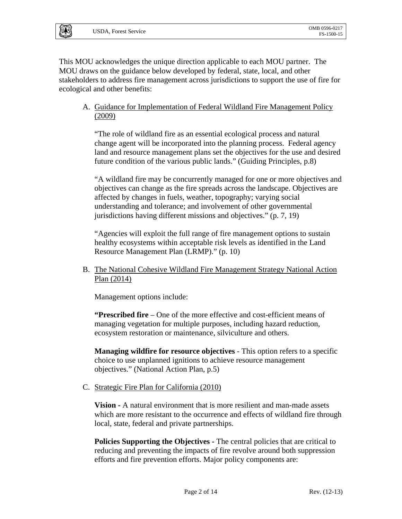This MOU acknowledges the unique direction applicable to each MOU partner. The MOU draws on the guidance below developed by federal, state, local, and other stakeholders to address fire management across jurisdictions to support the use of fire for ecological and other benefits:

A. Guidance for Implementation of Federal Wildland Fire Management Policy (2009)

"The role of wildland fire as an essential ecological process and natural change agent will be incorporated into the planning process. Federal agency land and resource management plans set the objectives for the use and desired future condition of the various public lands." (Guiding Principles, p.8)

"A wildland fire may be concurrently managed for one or more objectives and objectives can change as the fire spreads across the landscape. Objectives are affected by changes in fuels, weather, topography; varying social understanding and tolerance; and involvement of other governmental jurisdictions having different missions and objectives." (p. 7, 19)

"Agencies will exploit the full range of fire management options to sustain healthy ecosystems within acceptable risk levels as identified in the Land Resource Management Plan (LRMP)." (p. 10)

B. The National Cohesive Wildland Fire Management Strategy National Action Plan (2014)

Management options include:

**"Prescribed fire** – One of the more effective and cost-efficient means of managing vegetation for multiple purposes, including hazard reduction, ecosystem restoration or maintenance, silviculture and others.

**Managing wildfire for resource objectives** - This option refers to a specific choice to use unplanned ignitions to achieve resource management objectives." (National Action Plan, p.5)

C. Strategic Fire Plan for California (2010)

**Vision -** A natural environment that is more resilient and man-made assets which are more resistant to the occurrence and effects of wildland fire through local, state, federal and private partnerships.

**Policies Supporting the Objectives - The central policies that are critical to** reducing and preventing the impacts of fire revolve around both suppression efforts and fire prevention efforts. Major policy components are: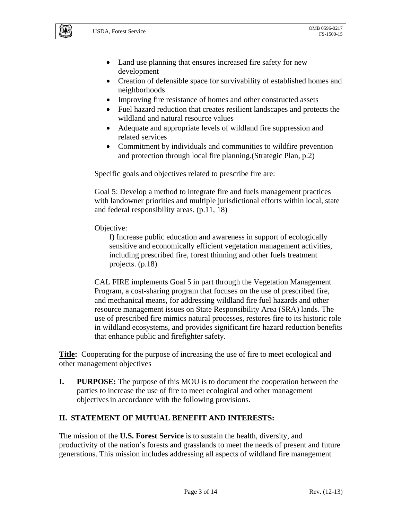- Land use planning that ensures increased fire safety for new development
- Creation of defensible space for survivability of established homes and neighborhoods
- Improving fire resistance of homes and other constructed assets
- Fuel hazard reduction that creates resilient landscapes and protects the wildland and natural resource values
- Adequate and appropriate levels of wildland fire suppression and related services
- Commitment by individuals and communities to wildfire prevention and protection through local fire planning.(Strategic Plan, p.2)

Specific goals and objectives related to prescribe fire are:

Goal 5: Develop a method to integrate fire and fuels management practices with landowner priorities and multiple jurisdictional efforts within local, state and federal responsibility areas. (p.11, 18)

#### Objective:

f) Increase public education and awareness in support of ecologically sensitive and economically efficient vegetation management activities, including prescribed fire, forest thinning and other fuels treatment projects. (p.18)

CAL FIRE implements Goal 5 in part through the Vegetation Management Program, a cost-sharing program that focuses on the use of prescribed fire, and mechanical means, for addressing wildland fire fuel hazards and other resource management issues on State Responsibility Area (SRA) lands. The use of prescribed fire mimics natural processes, restores fire to its historic role in wildland ecosystems, and provides significant fire hazard reduction benefits that enhance public and firefighter safety.

**Title:** Cooperating for the purpose of increasing the use of fire to meet ecological and other management objectives

**I. PURPOSE:** The purpose of this MOU is to document the cooperation between the parties to increase the use of fire to meet ecological and other management objectivesin accordance with the following provisions.

### **II. STATEMENT OF MUTUAL BENEFIT AND INTERESTS:**

The mission of the **U.S. Forest Service** is to sustain the health, diversity, and productivity of the nation's forests and grasslands to meet the needs of present and future generations. This mission includes addressing all aspects of wildland fire management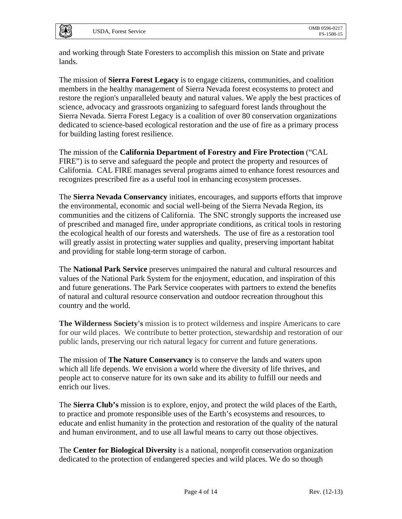and working through State Foresters to accomplish this mission on State and private lands.

The mission of **Sierra Forest Legacy** is to engage citizens, communities, and coalition members in the healthy management of Sierra Nevada forest ecosystems to protect and restore the region's unparalleled beauty and natural values. We apply the best practices of science, advocacy and grassroots organizing to safeguard forest lands throughout the Sierra Nevada. Sierra Forest Legacy is a coalition of over 80 conservation organizations dedicated to science-based ecological restoration and the use of fire as a primary process for building lasting forest resilience.

The mission of the **California Department of Forestry and Fire Protection** ("CAL FIRE") is to serve and safeguard the people and protect the property and resources of California. CAL FIRE manages several programs aimed to enhance forest resources and recognizes prescribed fire as a useful tool in enhancing ecosystem processes.

The **Sierra Nevada Conservancy** initiates, encourages, and supports efforts that improve the environmental, economic and social well-being of the Sierra Nevada Region, its communities and the citizens of California. The SNC strongly supports the increased use of prescribed and managed fire, under appropriate conditions, as critical tools in restoring the ecological health of our forests and watersheds. The use of fire as a restoration tool will greatly assist in protecting water supplies and quality, preserving important habitat and providing for stable long-term storage of carbon.

The **National Park Service** preserves unimpaired the natural and cultural resources and values of the National Park System for the enjoyment, education, and inspiration of this and future generations. The Park Service cooperates with partners to extend the benefits of natural and cultural resource conservation and outdoor recreation throughout this country and the world.

**The Wilderness Society's** mission is to protect wilderness and inspire Americans to care for our wild places. We contribute to better protection, stewardship and restoration of our public lands, preserving our rich natural legacy for current and future generations.

The mission of **The Nature Conservancy** is to conserve the lands and waters upon which all life depends. We envision a world where the diversity of life thrives, and people act to conserve nature for its own sake and its ability to fulfill our needs and enrich our lives.

The **Sierra Club's** mission is to explore, enjoy, and protect the wild places of the Earth, to practice and promote responsible uses of the Earth's ecosystems and resources, to educate and enlist humanity in the protection and restoration of the quality of the natural and human environment, and to use all lawful means to carry out those objectives.

The **Center for Biological Diversity** is a national, nonprofit conservation organization dedicated to the protection of endangered species and wild places. We do so though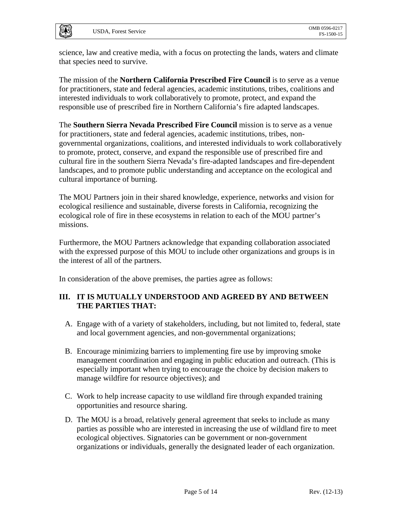**UAS** 

science, law and creative media, with a focus on protecting the lands, waters and climate that species need to survive.

The mission of the **Northern California Prescribed Fire Council** is to serve as a venue for practitioners, state and federal agencies, academic institutions, tribes, coalitions and interested individuals to work collaboratively to promote, protect, and expand the responsible use of prescribed fire in Northern California's fire adapted landscapes.

The **Southern Sierra Nevada Prescribed Fire Council** mission is to serve as a venue for practitioners, state and federal agencies, academic institutions, tribes, nongovernmental organizations, coalitions, and interested individuals to work collaboratively to promote, protect, conserve, and expand the responsible use of prescribed fire and cultural fire in the southern Sierra Nevada's fire-adapted landscapes and fire-dependent landscapes, and to promote public understanding and acceptance on the ecological and cultural importance of burning.

The MOU Partners join in their shared knowledge, experience, networks and vision for ecological resilience and sustainable, diverse forests in California, recognizing the ecological role of fire in these ecosystems in relation to each of the MOU partner's missions.

Furthermore, the MOU Partners acknowledge that expanding collaboration associated with the expressed purpose of this MOU to include other organizations and groups is in the interest of all of the partners.

In consideration of the above premises, the parties agree as follows:

# **III. IT IS MUTUALLY UNDERSTOOD AND AGREED BY AND BETWEEN THE PARTIES THAT:**

- A. Engage with of a variety of stakeholders, including, but not limited to, federal, state and local government agencies, and non-governmental organizations;
- B. Encourage minimizing barriers to implementing fire use by improving smoke management coordination and engaging in public education and outreach. (This is especially important when trying to encourage the choice by decision makers to manage wildfire for resource objectives); and
- C. Work to help increase capacity to use wildland fire through expanded training opportunities and resource sharing.
- D. The MOU is a broad, relatively general agreement that seeks to include as many parties as possible who are interested in increasing the use of wildland fire to meet ecological objectives. Signatories can be government or non-government organizations or individuals, generally the designated leader of each organization.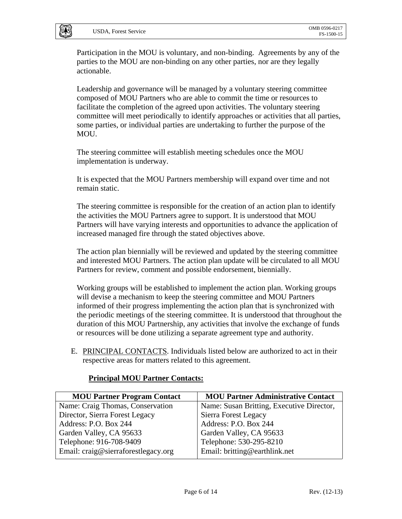Participation in the MOU is voluntary, and non-binding. Agreements by any of the parties to the MOU are non-binding on any other parties, nor are they legally actionable.

Leadership and governance will be managed by a voluntary steering committee composed of MOU Partners who are able to commit the time or resources to facilitate the completion of the agreed upon activities. The voluntary steering committee will meet periodically to identify approaches or activities that all parties, some parties, or individual parties are undertaking to further the purpose of the MOU.

The steering committee will establish meeting schedules once the MOU implementation is underway.

It is expected that the MOU Partners membership will expand over time and not remain static.

The steering committee is responsible for the creation of an action plan to identify the activities the MOU Partners agree to support. It is understood that MOU Partners will have varying interests and opportunities to advance the application of increased managed fire through the stated objectives above.

The action plan biennially will be reviewed and updated by the steering committee and interested MOU Partners. The action plan update will be circulated to all MOU Partners for review, comment and possible endorsement, biennially.

Working groups will be established to implement the action plan. Working groups will devise a mechanism to keep the steering committee and MOU Partners informed of their progress implementing the action plan that is synchronized with the periodic meetings of the steering committee. It is understood that throughout the duration of this MOU Partnership, any activities that involve the exchange of funds or resources will be done utilizing a separate agreement type and authority.

E. PRINCIPAL CONTACTS. Individuals listed below are authorized to act in their respective areas for matters related to this agreement.

| <b>MOU Partner Program Contact</b>  | <b>MOU Partner Administrative Contact</b> |
|-------------------------------------|-------------------------------------------|
| Name: Craig Thomas, Conservation    | Name: Susan Britting, Executive Director, |
| Director, Sierra Forest Legacy      | Sierra Forest Legacy                      |
| Address: P.O. Box 244               | Address: P.O. Box 244                     |
| Garden Valley, CA 95633             | Garden Valley, CA 95633                   |
| Telephone: 916-708-9409             | Telephone: 530-295-8210                   |
| Email: craig@sierraforestlegacy.org | Email: britting@earthlink.net             |

### **Principal MOU Partner Contacts:**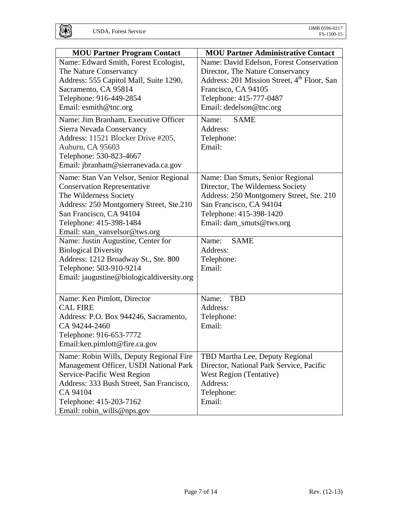|                                                                                                                                                                                                                                                                     | <b>MOU Partner Administrative Contact</b>                                                                                                                                                                                                    |
|---------------------------------------------------------------------------------------------------------------------------------------------------------------------------------------------------------------------------------------------------------------------|----------------------------------------------------------------------------------------------------------------------------------------------------------------------------------------------------------------------------------------------|
| <b>MOU Partner Program Contact</b><br>Name: Edward Smith, Forest Ecologist,<br>The Nature Conservancy<br>Address: 555 Capitol Mall, Suite 1290,<br>Sacramento, CA 95814<br>Telephone: 916-449-2854<br>Email: esmith@tnc.org<br>Name: Jim Branham, Executive Officer | Name: David Edelson, Forest Conservation<br>Director, The Nature Conservancy<br>Address: 201 Mission Street, 4 <sup>th</sup> Floor, San<br>Francisco, CA 94105<br>Telephone: 415-777-0487<br>Email: dedelson@tnc.org<br>Name:<br><b>SAME</b> |
| Sierra Nevada Conservancy<br>Address: 11521 Blocker Drive #205,<br>Auburn, CA 95603<br>Telephone: 530-823-4667<br>Email: jbranham@sierranevada.ca.gov                                                                                                               | Address:<br>Telephone:<br>Email:                                                                                                                                                                                                             |
| Name: Stan Van Velsor, Senior Regional<br><b>Conservation Representative</b><br>The Wilderness Society<br>Address: 250 Montgomery Street, Ste.210<br>San Francisco, CA 94104<br>Telephone: 415-398-1484<br>Email: stan_vanvelsor@tws.org                            | Name: Dan Smuts, Senior Regional<br>Director, The Wilderness Society<br>Address: 250 Montgomery Street, Ste. 210<br>San Francisco, CA 94104<br>Telephone: 415-398-1420<br>Email: dam_smuts@tws.org                                           |
| Name: Justin Augustine, Center for<br><b>Biological Diversity</b><br>Address: 1212 Broadway St., Ste. 800<br>Telephone: 503-910-9214<br>Email: jaugustine@biologicaldiversity.org                                                                                   | Name:<br><b>SAME</b><br>Address:<br>Telephone:<br>Email:                                                                                                                                                                                     |
| Name: Ken Pimlott, Director<br><b>CAL FIRE</b><br>Address: P.O. Box 944246, Sacramento,<br>CA 94244-2460<br>Telephone: 916-653-7772<br>Email:ken.pimlott@fire.ca.gov                                                                                                | <b>TBD</b><br>Name:<br>Address:<br>Telephone:<br>Email:                                                                                                                                                                                      |
| Name: Robin Wills, Deputy Regional Fire<br>Management Officer, USDI National Park<br>Service-Pacific West Region<br>Address: 333 Bush Street, San Francisco,<br>CA 94104<br>Telephone: 415-203-7162<br>Email: robin_wills@nps.gov                                   | TBD Martha Lee, Deputy Regional<br>Director, National Park Service, Pacific<br>West Region (Tentative)<br>Address:<br>Telephone:<br>Email:                                                                                                   |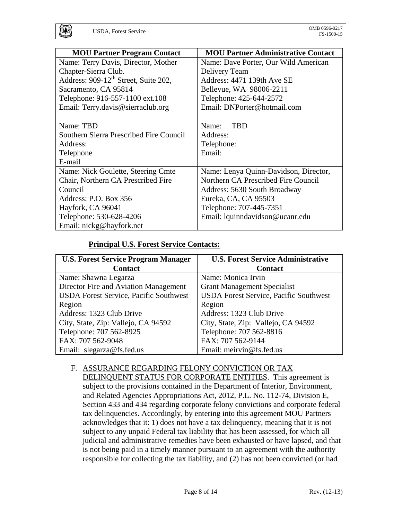| <b>MOU Partner Program Contact</b>               | <b>MOU Partner Administrative Contact</b> |
|--------------------------------------------------|-------------------------------------------|
| Name: Terry Davis, Director, Mother              | Name: Dave Porter, Our Wild American      |
| Chapter-Sierra Club.                             | Delivery Team                             |
| Address: 909-12 <sup>th</sup> Street, Suite 202, | Address: 4471 139th Ave SE                |
| Sacramento, CA 95814                             | Bellevue, WA 98006-2211                   |
| Telephone: 916-557-1100 ext.108                  | Telephone: 425-644-2572                   |
| Email: Terry.davis@sierraclub.org                | Email: DNPorter@hotmail.com               |
|                                                  |                                           |
| Name: TBD                                        | <b>TBD</b><br>Name:                       |
| Southern Sierra Prescribed Fire Council          | Address:                                  |
| Address:                                         | Telephone:                                |
| Telephone                                        | Email:                                    |
| E-mail                                           |                                           |
| Name: Nick Goulette, Steering Cmte               | Name: Lenya Quinn-Davidson, Director,     |
| Chair, Northern CA Prescribed Fire               | Northern CA Prescribed Fire Council       |
| Council                                          | Address: 5630 South Broadway              |
| Address: P.O. Box 356                            | Eureka, CA, CA 95503                      |
| Hayfork, CA 96041                                | Telephone: 707-445-7351                   |
| Telephone: 530-628-4206                          | Email: lquinndavidson@ucanr.edu           |
| Email: nickg@hayfork.net                         |                                           |

### **Principal U.S. Forest Service Contacts:**

| <b>U.S. Forest Service Program Manager</b>    | <b>U.S. Forest Service Administrative</b>     |
|-----------------------------------------------|-----------------------------------------------|
| <b>Contact</b>                                | <b>Contact</b>                                |
| Name: Shawna Legarza                          | Name: Monica Irvin                            |
| Director Fire and Aviation Management         | <b>Grant Management Specialist</b>            |
| <b>USDA Forest Service, Pacific Southwest</b> | <b>USDA Forest Service, Pacific Southwest</b> |
| Region                                        | Region                                        |
| Address: 1323 Club Drive                      | Address: 1323 Club Drive                      |
| City, State, Zip: Vallejo, CA 94592           | City, State, Zip: Vallejo, CA 94592           |
| Telephone: 707 562-8925                       | Telephone: 707 562-8816                       |
| FAX: 707 562-9048                             | FAX: 707 562-9144                             |
| Email: slegarza@fs.fed.us                     | Email: meirvin@fs.fed.us                      |

# F. ASSURANCE REGARDING FELONY CONVICTION OR TAX

DELINQUENT STATUS FOR CORPORATE ENTITIES.This agreement is subject to the provisions contained in the Department of Interior, Environment, and Related Agencies Appropriations Act, 2012, P.L. No. 112-74, Division E, Section 433 and 434 regarding corporate felony convictions and corporate federal tax delinquencies. Accordingly, by entering into this agreement MOU Partners acknowledges that it: 1) does not have a tax delinquency, meaning that it is not subject to any unpaid Federal tax liability that has been assessed, for which all judicial and administrative remedies have been exhausted or have lapsed, and that is not being paid in a timely manner pursuant to an agreement with the authority responsible for collecting the tax liability, and (2) has not been convicted (or had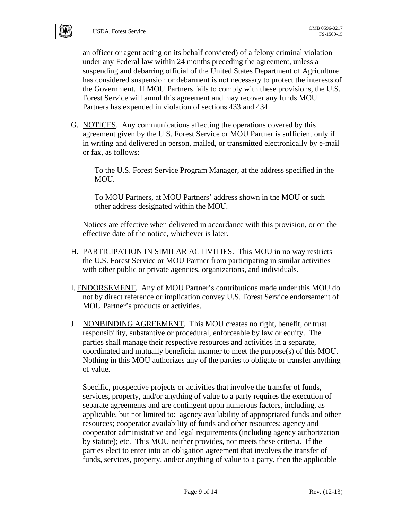an officer or agent acting on its behalf convicted) of a felony criminal violation under any Federal law within 24 months preceding the agreement, unless a suspending and debarring official of the United States Department of Agriculture has considered suspension or debarment is not necessary to protect the interests of the Government. If MOU Partners fails to comply with these provisions, the U.S. Forest Service will annul this agreement and may recover any funds MOU Partners has expended in violation of sections 433 and 434.

G. NOTICES. Any communications affecting the operations covered by this agreement given by the U.S. Forest Service or MOU Partner is sufficient only if in writing and delivered in person, mailed, or transmitted electronically by e-mail or fax, as follows:

To the U.S. Forest Service Program Manager, at the address specified in the MOU.

To MOU Partners, at MOU Partners' address shown in the MOU or such other address designated within the MOU.

Notices are effective when delivered in accordance with this provision, or on the effective date of the notice, whichever is later.

- H. PARTICIPATION IN SIMILAR ACTIVITIES. This MOU in no way restricts the U.S. Forest Service or MOU Partner from participating in similar activities with other public or private agencies, organizations, and individuals.
- I. ENDORSEMENT. Any of MOU Partner's contributions made under this MOU do not by direct reference or implication convey U.S. Forest Service endorsement of MOU Partner's products or activities.
- J. NONBINDING AGREEMENT. This MOU creates no right, benefit, or trust responsibility, substantive or procedural, enforceable by law or equity. The parties shall manage their respective resources and activities in a separate, coordinated and mutually beneficial manner to meet the purpose(s) of this MOU. Nothing in this MOU authorizes any of the parties to obligate or transfer anything of value.

Specific, prospective projects or activities that involve the transfer of funds, services, property, and/or anything of value to a party requires the execution of separate agreements and are contingent upon numerous factors, including, as applicable, but not limited to: agency availability of appropriated funds and other resources; cooperator availability of funds and other resources; agency and cooperator administrative and legal requirements (including agency authorization by statute); etc. This MOU neither provides, nor meets these criteria. If the parties elect to enter into an obligation agreement that involves the transfer of funds, services, property, and/or anything of value to a party, then the applicable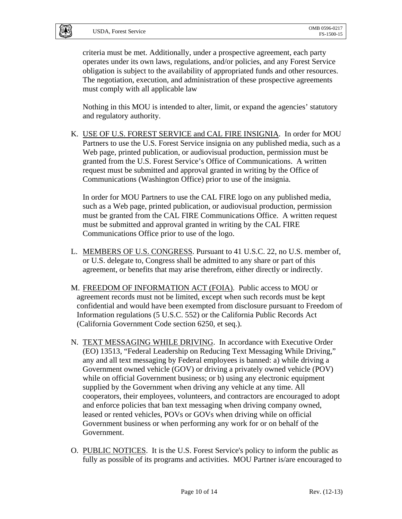criteria must be met. Additionally, under a prospective agreement, each party operates under its own laws, regulations, and/or policies, and any Forest Service obligation is subject to the availability of appropriated funds and other resources. The negotiation, execution, and administration of these prospective agreements must comply with all applicable law

Nothing in this MOU is intended to alter, limit, or expand the agencies' statutory and regulatory authority.

K. USE OF U.S. FOREST SERVICE and CAL FIRE INSIGNIA. In order for MOU Partners to use the U.S. Forest Service insignia on any published media, such as a Web page, printed publication, or audiovisual production, permission must be granted from the U.S. Forest Service's Office of Communications. A written request must be submitted and approval granted in writing by the Office of Communications (Washington Office) prior to use of the insignia.

In order for MOU Partners to use the CAL FIRE logo on any published media, such as a Web page, printed publication, or audiovisual production, permission must be granted from the CAL FIRE Communications Office. A written request must be submitted and approval granted in writing by the CAL FIRE Communications Office prior to use of the logo.

- L. MEMBERS OF U.S. CONGRESS. Pursuant to 41 U.S.C. 22, no U.S. member of, or U.S. delegate to, Congress shall be admitted to any share or part of this agreement, or benefits that may arise therefrom, either directly or indirectly.
- M. FREEDOM OF INFORMATION ACT (FOIA). Public access to MOU or agreement records must not be limited, except when such records must be kept confidential and would have been exempted from disclosure pursuant to Freedom of Information regulations (5 U.S.C. 552) or the California Public Records Act (California Government Code section 6250, et seq.).
- N. TEXT MESSAGING WHILE DRIVING. In accordance with Executive Order (EO) 13513, "Federal Leadership on Reducing Text Messaging While Driving," any and all text messaging by Federal employees is banned: a) while driving a Government owned vehicle (GOV) or driving a privately owned vehicle (POV) while on official Government business; or b) using any electronic equipment supplied by the Government when driving any vehicle at any time. All cooperators, their employees, volunteers, and contractors are encouraged to adopt and enforce policies that ban text messaging when driving company owned, leased or rented vehicles, POVs or GOVs when driving while on official Government business or when performing any work for or on behalf of the Government.
- O. PUBLIC NOTICES. It is the U.S. Forest Service's policy to inform the public as fully as possible of its programs and activities. MOU Partner is/are encouraged to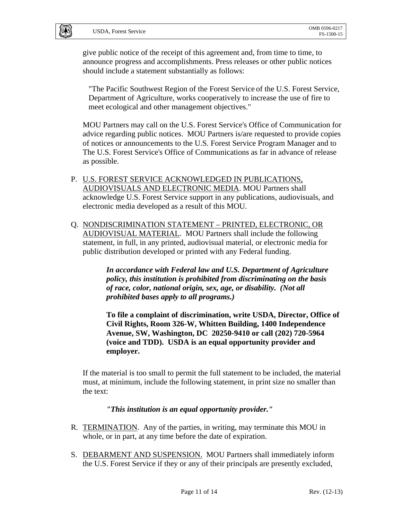give public notice of the receipt of this agreement and, from time to time, to announce progress and accomplishments. Press releases or other public notices should include a statement substantially as follows:

"The Pacific Southwest Region of the Forest Service of the U.S. Forest Service, Department of Agriculture, works cooperatively to increase the use of fire to meet ecological and other management objectives."

MOU Partners may call on the U.S. Forest Service's Office of Communication for advice regarding public notices. MOU Partners is/are requested to provide copies of notices or announcements to the U.S. Forest Service Program Manager and to The U.S. Forest Service's Office of Communications as far in advance of release as possible.

- P. U.S. FOREST SERVICE ACKNOWLEDGED IN PUBLICATIONS, AUDIOVISUALS AND ELECTRONIC MEDIA. MOU Partners shall acknowledge U.S. Forest Service support in any publications, audiovisuals, and electronic media developed as a result of this MOU.
- Q. NONDISCRIMINATION STATEMENT PRINTED, ELECTRONIC, OR AUDIOVISUAL MATERIAL. MOU Partners shall include the following statement, in full, in any printed, audiovisual material, or electronic media for public distribution developed or printed with any Federal funding.

*In accordance with Federal law and U.S. Department of Agriculture policy, this institution is prohibited from discriminating on the basis of race, color, national origin, sex, age, or disability. (Not all prohibited bases apply to all programs.)* 

**To file a complaint of discrimination, write USDA, Director, Office of Civil Rights, Room 326-W, Whitten Building, 1400 Independence Avenue, SW, Washington, DC 20250-9410 or call (202) 720-5964 (voice and TDD). USDA is an equal opportunity provider and employer.** 

If the material is too small to permit the full statement to be included, the material must, at minimum, include the following statement, in print size no smaller than the text:

### *"This institution is an equal opportunity provider."*

- R. TERMINATION. Any of the parties, in writing, may terminate this MOU in whole, or in part, at any time before the date of expiration.
- S. DEBARMENT AND SUSPENSION. MOU Partners shall immediately inform the U.S. Forest Service if they or any of their principals are presently excluded,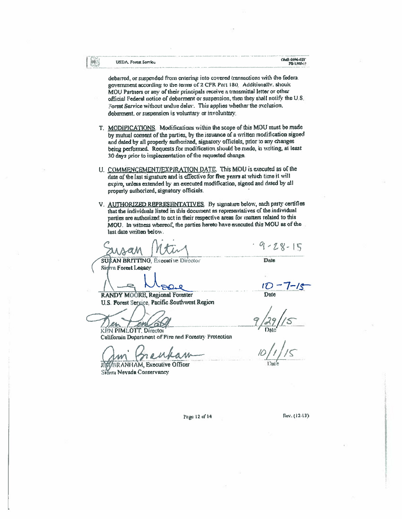**IBAS** 

debarred, or suspended from entering into covered transactions with the federa. government according to the terms of 2 CFR Part 180. Additionally, should MOU Partners or any of their principals receive a transmittal letter or other official Federal notice of debarment or suspension, then they shall notify the U.S. Forest Service without undue delay. This applies whether the exclusion. debarment, or suspension is voluntary or involuntary.

- T. MODIFICATIONS. Modifications within the scope of this MOU must be made by mutual consent of the parties, by the issuance of a written modification signed and dated by all properly authorized, signatory officials, prior to any changes being performed. Requests for modification should be made, in writing, at least 30 days prior to implementation of the requested change.
- U. COMMENCEMENT/EXPIRATION DATE. This MOU is executed as of the date of the last signature and is effective for five years at which time it will expire, unless extended by an executed modification, signed and dated by all properly authorized, signatory officials.
- V. AUTHORIZED REPRESENTATIVES. By signature below, each party certifies that the individuals listed in this document as representatives of the individual parties are authorized to act in their respective areas for matters related to this MOU. In witness whereof, the parties hereto have executed this MOU as of the last date written below.

 $9 - 28 - 15$ 

SUS AN BRITTING, Executive Director Sierra Forest Leeacy

RANDY MOORE, Regional Forester

Date

 $\mathcal{U}$ **Date** 

**KEN PIMLOTT. Director** California Department of Fire and Forestry Protection

U.S. Forest Service, Pacific Southwest Region

**BRANHAM, Executive Officer** Sierra Nevada Conservancy

Page 12 of 14

Rev. (12-13)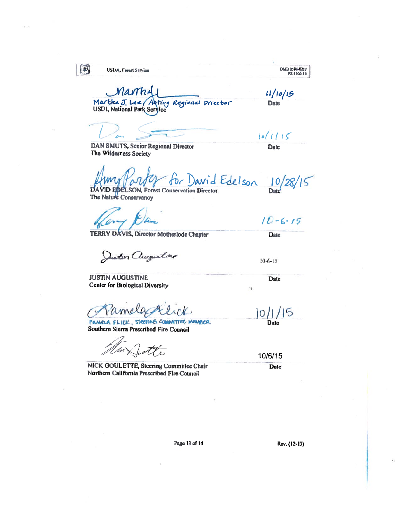吗

**USDA**, Forest Service

OMB 0396-0217 FS-1500-15

Mastri Martha J. Lee Arting Regional Director **USDI**, National Park Service

 $10(1115$ 

**Date** 

11/10/15

DAN SMUTS, Senior Regional Director The Wilderness Society

Date

David Edelson **ID EDELSON, Forest Conservation Director** DA

The Nature Conservancy

 $10 - 6 - 15$ **Date** 

 $10/28/$ 

 $5$ 

Juster augustine

TERRY DAVIS, Director Motherlode Chapter

 $10 - 6 - 15$ 

Date

þ

**JUSTIN AUGUSTINE Center for Biological Diversity** 

amera

PAMELA FLICK, STOCHING COMMITTEE MEMBER Southern Sierra Prescribed Fire Council

ette

NICK GOULETTE, Steering Committee Chair Northern California Prescribed Fire Council

 $|0/1/15$ <br>Date

10/6/15 Date

Page 13 of 14

Rev. (12-13)